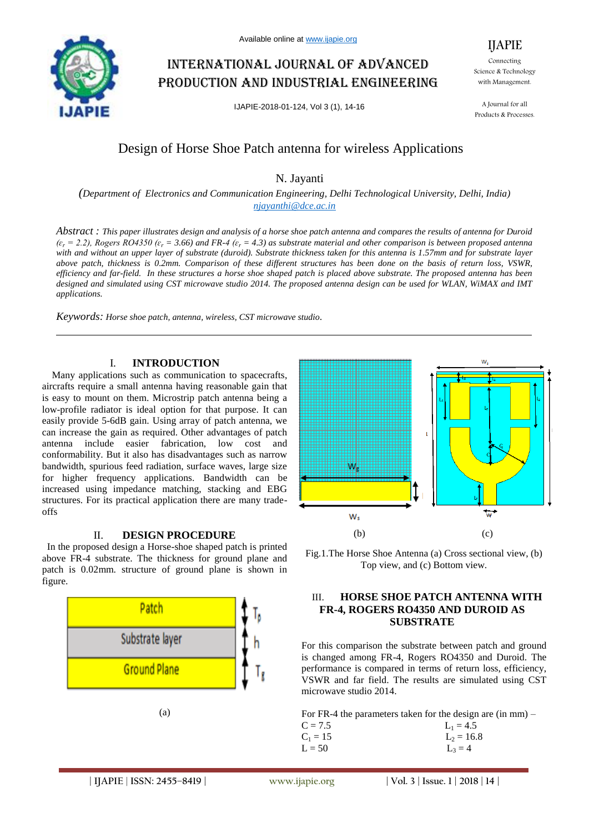

# International journal of advanced production and industrial engineering

IJAPIE-2018-01-124, Vol 3 (1), 14-16

Connecting Science & Technology with Management.

IJAPIE

A Journal for all Products & Processes.

## Design of Horse Shoe Patch antenna for wireless Applications

N. Jayanti

*(Department of Electronics and Communication Engineering, Delhi Technological University, Delhi, India) njayanthi@dce.ac.in*

*Abstract : This paper illustrates design and analysis of a horse shoe patch antenna and compares the results of antenna for Duroid*   $(\varepsilon_r = 2.2)$ , Rogers RO4350 ( $\varepsilon_r = 3.66$ ) and FR-4 ( $\varepsilon_r = 4.3$ ) as substrate material and other comparison is between proposed antenna *with and without an upper layer of substrate (duroid). Substrate thickness taken for this antenna is 1.57mm and for substrate layer above patch, thickness is 0.2mm. Comparison of these different structures has been done on the basis of return loss, VSWR, efficiency and far-field. In these structures a horse shoe shaped patch is placed above substrate. The proposed antenna has been designed and simulated using CST microwave studio 2014. The proposed antenna design can be used for WLAN, WiMAX and IMT applications.*

*Keywords: Horse shoe patch, antenna, wireless, CST microwave studio.*

## I. **INTRODUCTION**

Many applications such as communication to spacecrafts, aircrafts require a small antenna having reasonable gain that is easy to mount on them. Microstrip patch antenna being a low-profile radiator is ideal option for that purpose. It can easily provide 5-6dB gain. Using array of patch antenna, we can increase the gain as required. Other advantages of patch antenna include easier fabrication, low cost and conformability. But it also has disadvantages such as narrow bandwidth, spurious feed radiation, surface waves, large size for higher frequency applications. Bandwidth can be increased using impedance matching, stacking and EBG structures. For its practical application there are many tradeoffs

## II. **DESIGN PROCEDURE**

In the proposed design a Horse-shoe shaped patch is printed above FR-4 substrate. The thickness for ground plane and patch is 0.02mm. structure of ground plane is shown in figure.





Fig.1.The Horse Shoe Antenna (a) Cross sectional view, (b) Top view, and (c) Bottom view.

## III. **HORSE SHOE PATCH ANTENNA WITH FR-4, ROGERS RO4350 AND DUROID AS SUBSTRATE**

For this comparison the substrate between patch and ground is changed among FR-4, Rogers RO4350 and Duroid. The performance is compared in terms of return loss, efficiency, VSWR and far field. The results are simulated using CST microwave studio 2014.

For FR-4 the parameters taken for the design are (in mm) –

| $C = 7.5$  | $L_1 = 4.5$  |
|------------|--------------|
| $C_1 = 15$ | $L_2 = 16.8$ |
| $L = 50$   | $L_3 = 4$    |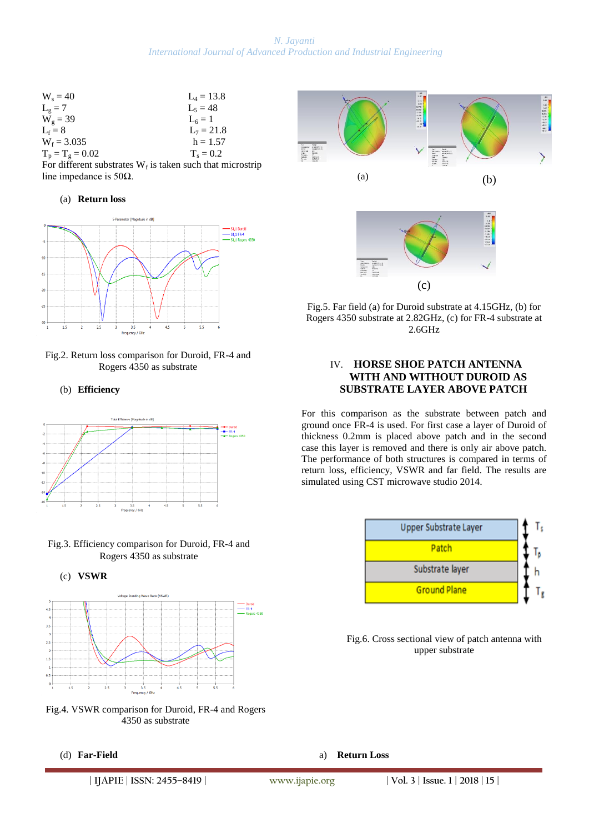## *N. Jayanti International Journal of Advanced Production and Industrial Engineering*

| $W_s = 40$         | $L_4 = 13.8$ |
|--------------------|--------------|
| $L_g = 7$          | $L_5 = 48$   |
| $W_g = 39$         | $L_6 = 1$    |
| $L_f = 8$          | $L_7 = 21.8$ |
| $W_f = 3.035$      | $h = 1.57$   |
| $T_p = T_g = 0.02$ | $T_s = 0.2$  |
|                    | .            |

| For different substrates $W_f$ is taken such that microstrip |  |  |
|--------------------------------------------------------------|--|--|
| line impedance is $50\Omega$ .                               |  |  |

#### (a) **Return loss**



Fig.2. Return loss comparison for Duroid, FR-4 and Rogers 4350 as substrate

(b) **Efficiency**



Fig.3. Efficiency comparison for Duroid, FR-4 and Rogers 4350 as substrate





Fig.4. VSWR comparison for Duroid, FR-4 and Rogers 4350 as substrate





Fig.5. Far field (a) for Duroid substrate at 4.15GHz, (b) for Rogers 4350 substrate at 2.82GHz, (c) for FR-4 substrate at 2.6GHz

## IV. **HORSE SHOE PATCH ANTENNA WITH AND WITHOUT DUROID AS SUBSTRATE LAYER ABOVE PATCH**

For this comparison as the substrate between patch and ground once FR-4 is used. For first case a layer of Duroid of thickness 0.2mm is placed above patch and in the second case this layer is removed and there is only air above patch. The performance of both structures is compared in terms of return loss, efficiency, VSWR and far field. The results are simulated using CST microwave studio 2014.



Fig.6. Cross sectional view of patch antenna with upper substrate

a) **Return Loss**